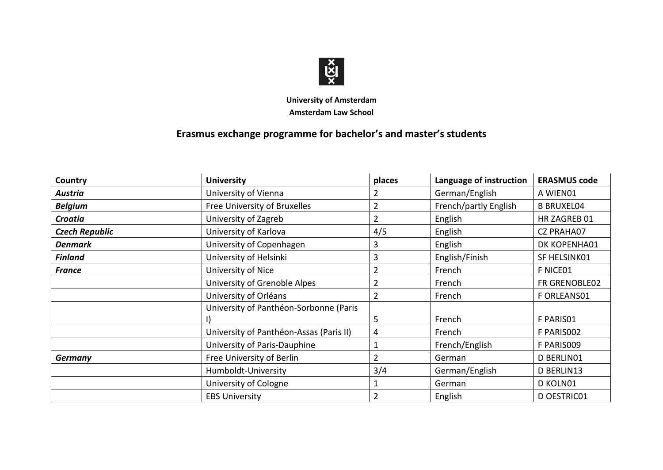

## **University of Amsterdam Amsterdam Law School**

## **Erasmus exchange programme for bachelor's and master's students**

| Country               | <b>University</b>                       | places         | Language of instruction | <b>ERASMUS code</b> |
|-----------------------|-----------------------------------------|----------------|-------------------------|---------------------|
| Austria               | University of Vienna                    | 2              | German/English          | A WIEN01            |
| <b>Belgium</b>        | Free University of Bruxelles            | $\overline{2}$ | French/partly English   | <b>B BRUXEL04</b>   |
| <b>Croatia</b>        | University of Zagreb                    | $\overline{2}$ | English                 | HR ZAGREB 01        |
| <b>Czech Republic</b> | University of Karlova                   | 4/5            | English                 | <b>CZ PRAHA07</b>   |
| <b>Denmark</b>        | University of Copenhagen                | 3              | English                 | DK KOPENHA01        |
| <b>Finland</b>        | University of Helsinki                  | 3              | English/Finish          | SF HELSINK01        |
| <b>France</b>         | University of Nice                      | $\overline{2}$ | French                  | F NICE01            |
|                       | University of Grenoble Alpes            | $\overline{2}$ | French                  | FR GRENOBLE02       |
|                       | University of Orléans                   | $\overline{2}$ | French                  | F ORLEANS01         |
|                       | University of Panthéon-Sorbonne (Paris  |                |                         |                     |
|                       |                                         | 5              | French                  | F PARISO1           |
|                       | University of Panthéon-Assas (Paris II) | 4              | French                  | F PARISO02          |
|                       | University of Paris-Dauphine            |                | French/English          | F PARIS009          |
| <b>Germany</b>        | Free University of Berlin               | $\overline{2}$ | German                  | D BERLINO1          |
|                       | Humboldt-University                     | 3/4            | German/English          | D BERLIN13          |
|                       | University of Cologne                   |                | German                  | D KOLN01            |
|                       | <b>EBS University</b>                   | $\overline{2}$ | English                 | D OESTRIC01         |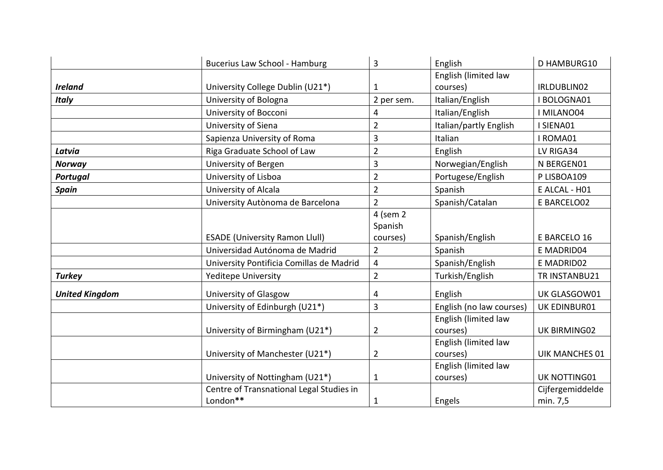|                       | Bucerius Law School - Hamburg            | 3                       | English                  | D HAMBURG10           |
|-----------------------|------------------------------------------|-------------------------|--------------------------|-----------------------|
|                       |                                          |                         | English (limited law     |                       |
| <b>Ireland</b>        | University College Dublin (U21*)         | 1                       | courses)                 | IRLDUBLIN02           |
| <b>Italy</b>          | University of Bologna                    | 2 per sem.              | Italian/English          | <b>BOLOGNA01</b>      |
|                       | University of Bocconi                    | 4                       | Italian/English          | I MILANO04            |
|                       | University of Siena                      | $\overline{2}$          | Italian/partly English   | I SIENA01             |
|                       | Sapienza University of Roma              | 3                       | Italian                  | I ROMA01              |
| Latvia                | Riga Graduate School of Law              | $\overline{2}$          | English                  | LV RIGA34             |
| <b>Norway</b>         | University of Bergen                     | 3                       | Norwegian/English        | N BERGEN01            |
| <b>Portugal</b>       | University of Lisboa                     | $\overline{2}$          | Portugese/English        | P LISBOA109           |
| <b>Spain</b>          | University of Alcala                     | $\overline{2}$          | Spanish                  | E ALCAL - H01         |
|                       | University Autònoma de Barcelona         | $\overline{2}$          | Spanish/Catalan          | E BARCELO02           |
|                       |                                          | 4 (sem 2                |                          |                       |
|                       |                                          | Spanish                 |                          |                       |
|                       | <b>ESADE (University Ramon Llull)</b>    | courses)                | Spanish/English          | E BARCELO 16          |
|                       | Universidad Autónoma de Madrid           | $\overline{2}$          | Spanish                  | E MADRID04            |
|                       | University Pontificia Comillas de Madrid | $\overline{\mathbf{4}}$ | Spanish/English          | E MADRID02            |
| <b>Turkey</b>         | <b>Yeditepe University</b>               | $\overline{2}$          | Turkish/English          | TR INSTANBU21         |
| <b>United Kingdom</b> | University of Glasgow                    | 4                       | English                  | UK GLASGOW01          |
|                       | University of Edinburgh (U21*)           | 3                       | English (no law courses) | UK EDINBUR01          |
|                       |                                          |                         | English (limited law     |                       |
|                       | University of Birmingham (U21*)          | $\overline{2}$          | courses)                 | UK BIRMING02          |
|                       |                                          |                         | English (limited law     |                       |
|                       | University of Manchester (U21*)          | $\overline{2}$          | courses)                 | <b>UIK MANCHES 01</b> |
|                       |                                          |                         | English (limited law     |                       |
|                       | University of Nottingham (U21*)          | $\mathbf{1}$            | courses)                 | UK NOTTING01          |
|                       | Centre of Transnational Legal Studies in |                         |                          | Cijfergemiddelde      |
|                       | London**                                 | $\mathbf 1$             | Engels                   | min. 7,5              |